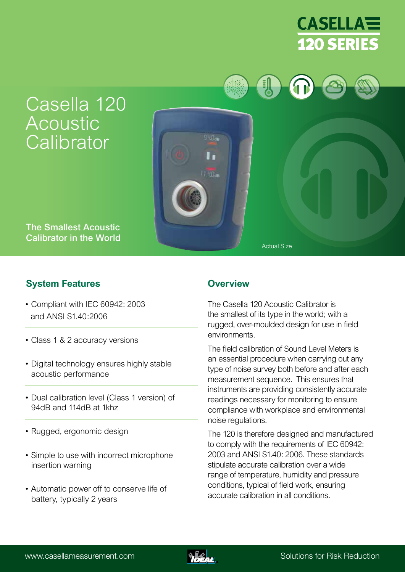

# Casella 120 Acoustic **Calibrator**



The Smallest Acoustic Calibrator in the World

# **System Features Overview**

- Compliant with IEC 60942: 2003 and ANSI S1.40:2006
- Class 1 & 2 accuracy versions
- Digital technology ensures highly stable acoustic performance
- Dual calibration level (Class 1 version) of 94dB and 114dB at 1khz
- Rugged, ergonomic design
- Simple to use with incorrect microphone insertion warning
- Automatic power off to conserve life of battery, typically 2 years

The Casella 120 Acoustic Calibrator is the smallest of its type in the world; with a rugged, over-moulded design for use in field environments.

Actual Size

The field calibration of Sound Level Meters is an essential procedure when carrying out any type of noise survey both before and after each measurement sequence. This ensures that instruments are providing consistently accurate readings necessary for monitoring to ensure compliance with workplace and environmental noise regulations.

The 120 is therefore designed and manufactured to comply with the requirements of IEC 60942: 2003 and ANSI S1.40: 2006. These standards stipulate accurate calibration over a wide range of temperature, humidity and pressure conditions, typical of field work, ensuring accurate calibration in all conditions.